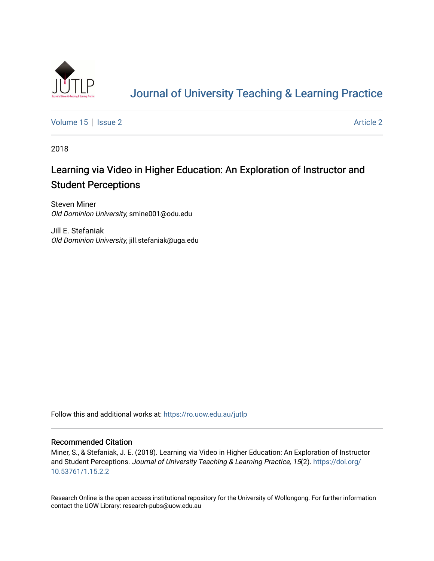

# [Journal of University Teaching & Learning Practice](https://ro.uow.edu.au/jutlp)

[Volume 15](https://ro.uow.edu.au/jutlp/vol15) | [Issue 2](https://ro.uow.edu.au/jutlp/vol15/iss2) Article 2

2018

## Learning via Video in Higher Education: An Exploration of Instructor and Student Perceptions

Steven Miner Old Dominion University, smine001@odu.edu

Jill E. Stefaniak Old Dominion University, jill.stefaniak@uga.edu

Follow this and additional works at: [https://ro.uow.edu.au/jutlp](https://ro.uow.edu.au/jutlp?utm_source=ro.uow.edu.au%2Fjutlp%2Fvol15%2Fiss2%2F2&utm_medium=PDF&utm_campaign=PDFCoverPages) 

### Recommended Citation

Miner, S., & Stefaniak, J. E. (2018). Learning via Video in Higher Education: An Exploration of Instructor and Student Perceptions. Journal of University Teaching & Learning Practice, 15(2). [https://doi.org/](https://doi.org/10.53761/1.15.2.2) [10.53761/1.15.2.2](https://doi.org/10.53761/1.15.2.2) 

Research Online is the open access institutional repository for the University of Wollongong. For further information contact the UOW Library: research-pubs@uow.edu.au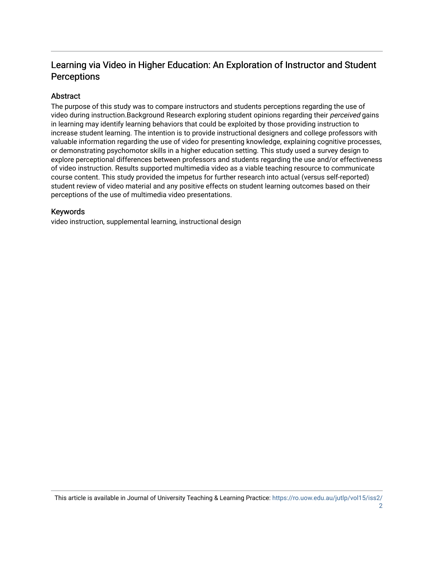## Learning via Video in Higher Education: An Exploration of Instructor and Student **Perceptions**

## Abstract

The purpose of this study was to compare instructors and students perceptions regarding the use of video during instruction.Background Research exploring student opinions regarding their *perceived* gains in learning may identify learning behaviors that could be exploited by those providing instruction to increase student learning. The intention is to provide instructional designers and college professors with valuable information regarding the use of video for presenting knowledge, explaining cognitive processes, or demonstrating psychomotor skills in a higher education setting. This study used a survey design to explore perceptional differences between professors and students regarding the use and/or effectiveness of video instruction. Results supported multimedia video as a viable teaching resource to communicate course content. This study provided the impetus for further research into actual (versus self-reported) student review of video material and any positive effects on student learning outcomes based on their perceptions of the use of multimedia video presentations.

## Keywords

video instruction, supplemental learning, instructional design

This article is available in Journal of University Teaching & Learning Practice: [https://ro.uow.edu.au/jutlp/vol15/iss2/](https://ro.uow.edu.au/jutlp/vol15/iss2/2)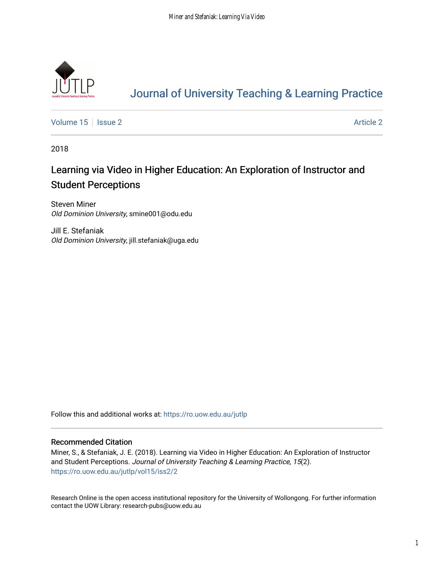

# [Journal of University Teaching & Learning Practice](https://ro.uow.edu.au/jutlp)

[Volume 15](https://ro.uow.edu.au/jutlp/vol15) | [Issue 2](https://ro.uow.edu.au/jutlp/vol15/iss2) Article 2

2018

## Learning via Video in Higher Education: An Exploration of Instructor and Student Perceptions

Steven Miner Old Dominion University, smine001@odu.edu

Jill E. Stefaniak Old Dominion University, jill.stefaniak@uga.edu

Follow this and additional works at: [https://ro.uow.edu.au/jutlp](https://ro.uow.edu.au/jutlp?utm_source=ro.uow.edu.au%2Fjutlp%2Fvol15%2Fiss2%2F2&utm_medium=PDF&utm_campaign=PDFCoverPages) 

### Recommended Citation

Miner, S., & Stefaniak, J. E. (2018). Learning via Video in Higher Education: An Exploration of Instructor and Student Perceptions. Journal of University Teaching & Learning Practice, 15(2). [https://ro.uow.edu.au/jutlp/vol15/iss2/2](https://ro.uow.edu.au/jutlp/vol15/iss2/2?utm_source=ro.uow.edu.au%2Fjutlp%2Fvol15%2Fiss2%2F2&utm_medium=PDF&utm_campaign=PDFCoverPages) 

Research Online is the open access institutional repository for the University of Wollongong. For further information contact the UOW Library: research-pubs@uow.edu.au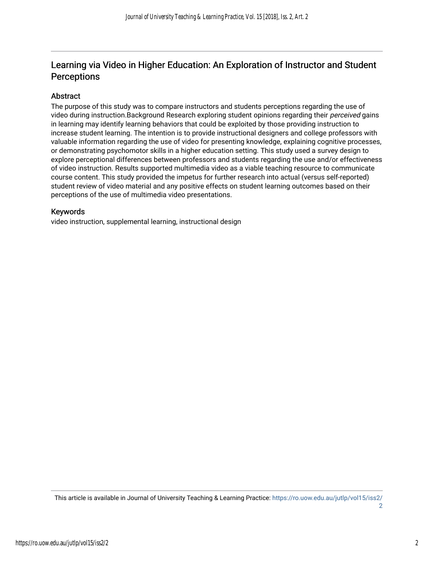## Learning via Video in Higher Education: An Exploration of Instructor and Student **Perceptions**

## Abstract

The purpose of this study was to compare instructors and students perceptions regarding the use of video during instruction.Background Research exploring student opinions regarding their *perceived* gains in learning may identify learning behaviors that could be exploited by those providing instruction to increase student learning. The intention is to provide instructional designers and college professors with valuable information regarding the use of video for presenting knowledge, explaining cognitive processes, or demonstrating psychomotor skills in a higher education setting. This study used a survey design to explore perceptional differences between professors and students regarding the use and/or effectiveness of video instruction. Results supported multimedia video as a viable teaching resource to communicate course content. This study provided the impetus for further research into actual (versus self-reported) student review of video material and any positive effects on student learning outcomes based on their perceptions of the use of multimedia video presentations.

## Keywords

video instruction, supplemental learning, instructional design

This article is available in Journal of University Teaching & Learning Practice: [https://ro.uow.edu.au/jutlp/vol15/iss2/](https://ro.uow.edu.au/jutlp/vol15/iss2/2) [2](https://ro.uow.edu.au/jutlp/vol15/iss2/2)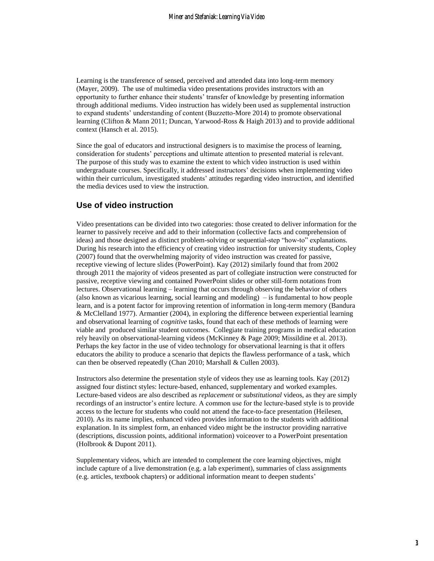Learning is the transference of sensed, perceived and attended data into long-term memory (Mayer, 2009). The use of multimedia video presentations provides instructors with an opportunity to further enhance their students' transfer of knowledge by presenting information through additional mediums. Video instruction has widely been used as supplemental instruction to expand students' understanding of content (Buzzetto-More 2014) to promote observational learning (Clifton & Mann 2011; Duncan, Yarwood-Ross & Haigh 2013) and to provide additional context (Hansch et al. 2015).

Since the goal of educators and instructional designers is to maximise the process of learning, consideration for students' perceptions and ultimate attention to presented material is relevant. The purpose of this study was to examine the extent to which video instruction is used within undergraduate courses. Specifically, it addressed instructors' decisions when implementing video within their curriculum, investigated students' attitudes regarding video instruction, and identified the media devices used to view the instruction.

## **Use of video instruction**

Video presentations can be divided into two categories: those created to deliver information for the learner to passively receive and add to their information (collective facts and comprehension of ideas) and those designed as distinct problem-solving or sequential-step "how-to" explanations. During his research into the efficiency of creating video instruction for university students, Copley (2007) found that the overwhelming majority of video instruction was created for passive, receptive viewing of lecture slides (PowerPoint). Kay [\(2012\)](#page-16-0) similarly found that from 2002 through 2011 the majority of videos presented as part of collegiate instruction were constructed for passive, receptive viewing and contained PowerPoint slides or other still-form notations from lectures. Observational learning – learning that occurs through observing the behavior of others (also known as vicarious learning, social learning and modeling) – is fundamental to how people learn, and is a potent factor for improving retention of information in long-term memory [\(Bandura](#page-15-0)  [& McClelland 1977\)](#page-15-0). Armantier [\(2004\)](#page-15-1), in exploring the difference between experiential learning and observational learning of *cognitive* tasks, found that each of these methods of learning were viable and produced similar student outcomes. Collegiate training programs in medical education rely heavily on observational-learning videos (McKinney & Page 2009; Missildine et al. 2013). Perhaps the key factor in the use of video technology for observational learning is that it offers educators the ability to produce a scenario that depicts the flawless performance of a task, which can then be observed repeatedly [\(Chan 2010;](#page-15-2) [Marshall & Cullen 2003\)](#page-16-1).

Instructors also determine the presentation style of videos they use as learning tools. Kay [\(2012\)](#page-16-0) assigned four distinct styles: lecture-based, enhanced, supplementary and worked examples. Lecture-based videos are also described as *replacement* or *substitutional* videos, as they are simply recordings of an instructor's entire lecture. A common use for the lecture-based style is to provide access to the lecture for students who could not attend the face-to-face presentation [\(Heilesen,](#page-16-2)  [2010\)](#page-16-2). As its name implies, enhanced video provides information to the students with additional explanation. In its simplest form, an enhanced video might be the instructor providing narrative (descriptions, discussion points, additional information) voiceover to a PowerPoint presentation [\(Holbrook & Dupont 2011\)](#page-16-3).

Supplementary videos, which are intended to complement the core learning objectives, might include capture of a live demonstration (e.g. a lab experiment), summaries of class assignments (e.g. articles, textbook chapters) or additional information meant to deepen students'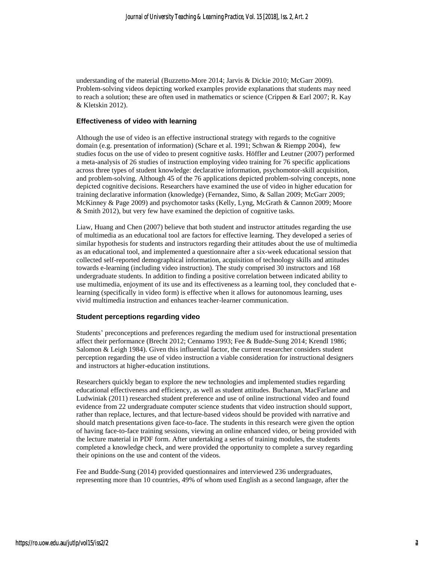understanding of the material [\(Buzzetto-More 2014;](#page-15-3) [Jarvis & Dickie 2010;](#page-16-4) [McGarr 2009\)](#page-16-5). Problem-solving videos depicting worked examples provide explanations that students may need to reach a solution; these are often used in mathematics or science [\(Crippen & Earl 2007;](#page-15-4) [R. Kay](#page-16-6)  [& Kletskin 2012\)](#page-16-6).

#### **Effectiveness of video with learning**

Although the use of video is an effective instructional strategy with regards to the cognitive domain (e.g. presentation of information) (Schare et al. 1991; Schwan & Riempp 2004), few studies focus on the use of video to present cognitive *tasks*. Höffler and Leutner [\(2007\)](#page-16-7) performed a meta-analysis of 26 studies of instruction employing video training for 76 specific applications across three types of student knowledge: declarative information, psychomotor-skill acquisition, and problem-solving. Although 45 of the 76 applications depicted problem-solving concepts, none depicted cognitive decisions. Researchers have examined the use of video in higher education for training declarative information (knowledge) [\(Fernandez, Simo, & Sallan 2009;](#page-15-5) [McGarr 2009;](#page-16-5) [McKinney & Page 2009\)](#page-16-8) and psychomotor tasks [\(Kelly, Lyng, McGrath & Cannon 2009;](#page-16-9) [Moore](#page-16-10)  [& Smith 2012\)](#page-16-10), but very few have examined the depiction of cognitive tasks.

Liaw, Huang and Chen [\(2007\)](#page-16-11) believe that both student and instructor attitudes regarding the use of multimedia as an educational tool are factors for effective learning. They developed a series of similar hypothesis for students and instructors regarding their attitudes about the use of multimedia as an educational tool, and implemented a questionnaire after a six-week educational session that collected self-reported demographical information, acquisition of technology skills and attitudes towards e-learning (including video instruction). The study comprised 30 instructors and 168 undergraduate students. In addition to finding a positive correlation between indicated ability to use multimedia, enjoyment of its use and its effectiveness as a learning tool, they concluded that elearning (specifically in video form) is effective when it allows for autonomous learning, uses vivid multimedia instruction and enhances teacher-learner communication.

#### **Student perceptions regarding video**

Students' preconceptions and preferences regarding the medium used for instructional presentation affect their performance [\(Brecht 2012;](#page-15-6) [Cennamo 1993;](#page-15-7) [Fee & Budde-Sung 2014;](#page-15-8) [Krendl 1986;](#page-16-12) [Salomon & Leigh 1984\)](#page-17-0). Given this influential factor, the current researcher considers student perception regarding the use of video instruction a viable consideration for instructional designers and instructors at higher-education institutions.

Researchers quickly began to explore the new technologies and implemented studies regarding educational effectiveness and efficiency, as well as student attitudes. Buchanan, MacFarlane and Ludwiniak [\(2011\)](#page-15-9) researched student preference and use of online instructional video and found evidence from 22 undergraduate computer science students that video instruction should support, rather than replace, lectures, and that lecture-based videos should be provided with narrative and should match presentations given face-to-face. The students in this research were given the option of having face-to-face training sessions, viewing an online enhanced video, or being provided with the lecture material in PDF form. After undertaking a series of training modules, the students completed a knowledge check, and were provided the opportunity to complete a survey regarding their opinions on the use and content of the videos.

Fee and Budde-Sung [\(2014\)](#page-15-8) provided questionnaires and interviewed 236 undergraduates, representing more than 10 countries, 49% of whom used English as a second language, after the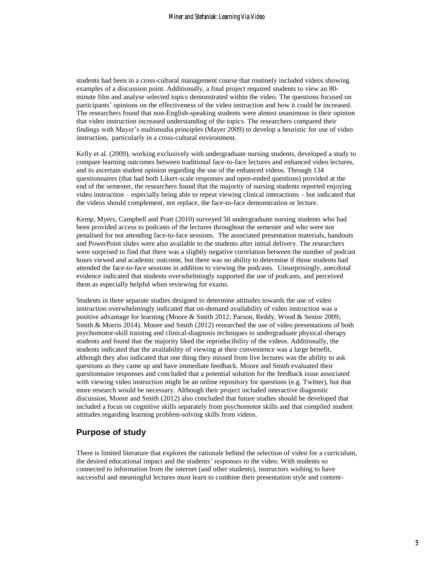students had been in a cross-cultural management course that routinely included videos showing examples of a discussion point. Additionally, a final project required students to view an 80 minute film and analyse selected topics demonstrated within the video. The questions focused on participants' opinions on the effectiveness of the video instruction and how it could be increased. The researchers found that non-English-speaking students were almost unanimous in their opinion that video instruction increased understanding of the topics. The researchers compared their findings with Mayer's multimedia principles [\(Mayer 2009\)](#page-16-13) to develop a heuristic for use of video instruction, particularly in a cross-cultural environment.

Kelly et al. [\(2009\)](#page-16-9), working exclusively with undergraduate nursing students, developed a study to compare learning outcomes between traditional face-to-face lectures and enhanced video lectures, and to ascertain student opinion regarding the use of the enhanced videos. Through 134 questionnaires (that had both Likert-scale responses and open-ended questions) provided at the end of the semester, the researchers found that the majority of nursing students reported enjoying video instruction – especially being able to repeat viewing clinical interactions – but indicated that the videos should complement, not replace, the face-to-face demonstration or lecture.

Kemp, Myers, Campbell and Pratt [\(2010\)](#page-16-14) surveyed 50 undergraduate nursing students who had been provided access to podcasts of the lectures throughout the semester and who were not penalised for not attending face-to-face sessions. The associated presentation materials, handouts and PowerPoint slides were also available to the students after initial delivery. The researchers were surprised to find that there was a slightly negative correlation between the number of podcast hours viewed and academic outcome, but there was no ability to determine if those students had attended the face-to-face sessions in addition to viewing the podcasts. Unsurprisingly, anecdotal evidence indicated that students overwhelmingly supported the use of podcasts, and perceived them as especially helpful when reviewing for exams.

Students in three separate studies designed to determine attitudes towards the use of video instruction overwhelmingly indicated that on-demand availability of video instruction was a positive advantage for learning [\(Moore & Smith 2012;](#page-16-10) [Parson, Reddy, Wood & Senior 2009;](#page-16-15) [Smith & Morris 2014\)](#page-17-1). Moore and Smith [\(2012\)](#page-15-10) researched the use of video presentations of both psychomotor-skill training and clinical-diagnosis techniques to undergraduate physical-therapy students and found that the majority liked the reproducibility of the videos. Additionally, the students indicated that the availability of viewing at their convenience was a large benefit, although they also indicated that one thing they missed from live lectures was the ability to ask questions as they came up and have immediate feedback. Moore and Smith evaluated their questionnaire responses and concluded that a potential solution for the feedback issue associated with viewing video instruction might be an online repository for questions (e.g. Twitter), but that more research would be necessary. Although their project included interactive diagnostic discussion, Moore and Smith (2012) also concluded that future studies should be developed that included a focus on cognitive skills separately from psychomotor skills and that compiled student attitudes regarding learning problem-solving skills from videos.

### **Purpose of study**

There is limited literature that explores the rationale behind the selection of video for a curriculum, the desired educational impact and the students' responses to the video. With students so connected to information from the internet (and other students), instructors wishing to have successful and meaningful lectures must learn to combine their presentation style and content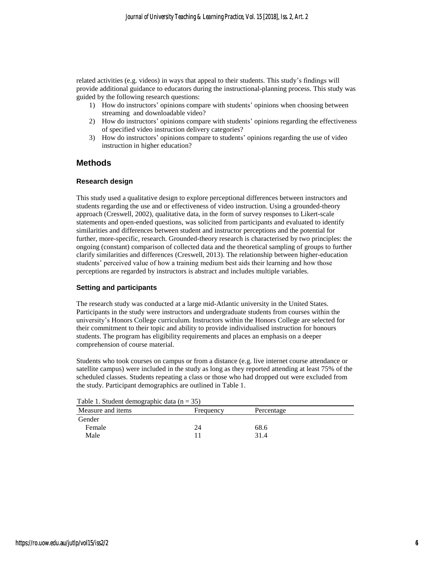related activities (e.g. videos) in ways that appeal to their students. This study's findings will provide additional guidance to educators during the instructional-planning process. This study was guided by the following research questions:

- 1) How do instructors' opinions compare with students' opinions when choosing between streaming and downloadable video?
- 2) How do instructors' opinions compare with students' opinions regarding the effectiveness of specified video instruction delivery categories?
- 3) How do instructors' opinions compare to students' opinions regarding the use of video instruction in higher education?

### **Methods**

#### **Research design**

This study used a qualitative design to explore perceptional differences between instructors and students regarding the use and or effectiveness of video instruction. Using a grounded-theory approach [\(Creswell, 2002\)](#page-15-11), qualitative data, in the form of survey responses to Likert-scale statements and open-ended questions, was solicited from participants and evaluated to identify similarities and differences between student and instructor perceptions and the potential for further, more-specific, research. Grounded-theory research is characterised by two principles: the ongoing (constant) comparison of collected data and the theoretical sampling of groups to further clarify similarities and differences [\(Creswell, 2013\)](#page-15-12). The relationship between higher-education students' perceived value of how a training medium best aids their learning and how those perceptions are regarded by instructors is abstract and includes multiple variables.

#### **Setting and participants**

The research study was conducted at a large mid-Atlantic university in the United States. Participants in the study were instructors and undergraduate students from courses within the university's Honors College curriculum. Instructors within the Honors College are selected for their commitment to their topic and ability to provide individualised instruction for honours students. The program has eligibility requirements and places an emphasis on a deeper comprehension of course material.

Students who took courses on campus or from a distance (e.g. live internet course attendance or satellite campus) were included in the study as long as they reported attending at least 75% of the scheduled classes. Students repeating a class or those who had dropped out were excluded from the study. Participant demographics are outlined in Table 1.

| I able 1. Student demographic data $(n = 33)$ |           |            |  |
|-----------------------------------------------|-----------|------------|--|
| Measure and items                             | Frequency | Percentage |  |
| Gender                                        |           |            |  |
| Female                                        |           | 68.6       |  |
| Male                                          |           | 31.4       |  |

 $T_{a}$ kle 1.  $S_{t}$  demographic data (n  $25$ )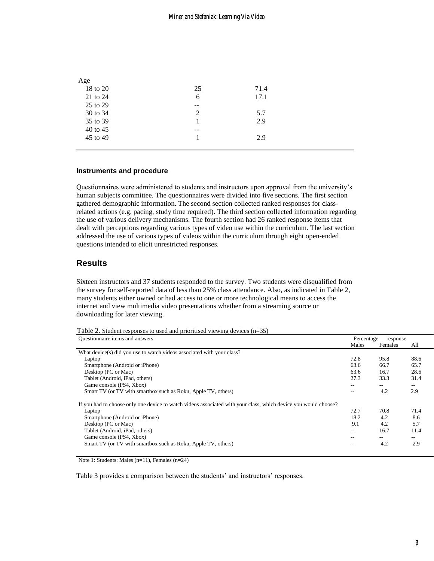| Age      |       |      |  |
|----------|-------|------|--|
| 18 to 20 | 25    | 71.4 |  |
| 21 to 24 | 6     | 17.1 |  |
| 25 to 29 | $-$   |      |  |
| 30 to 34 | 2     | 5.7  |  |
| 35 to 39 |       | 2.9  |  |
| 40 to 45 | $- -$ |      |  |
| 45 to 49 |       | 2.9  |  |
|          |       |      |  |

#### **Instruments and procedure**

Questionnaires were administered to students and instructors upon approval from the university's human subjects committee. The questionnaires were divided into five sections. The first section gathered demographic information. The second section collected ranked responses for classrelated actions (e.g. pacing, study time required). The third section collected information regarding the use of various delivery mechanisms. The fourth section had 26 ranked response items that dealt with perceptions regarding various types of video use within the curriculum. The last section addressed the use of various types of videos within the curriculum through eight open-ended questions intended to elicit unrestricted responses.

### **Results**

Sixteen instructors and 37 students responded to the survey. Two students were disqualified from the survey for self-reported data of less than 25% class attendance. Also, as indicated in Table 2, many students either owned or had access to one or more technological means to access the internet and view multimedia video presentations whether from a streaming source or downloading for later viewing.

Table 2. Student responses to used and prioritised viewing devices (n=35)

| Questionnaire items and answers                                                                                 |       | Percentage<br>response |       |  |
|-----------------------------------------------------------------------------------------------------------------|-------|------------------------|-------|--|
|                                                                                                                 | Males | Females                | All   |  |
| What device(s) did you use to watch videos associated with your class?                                          |       |                        |       |  |
| Laptop                                                                                                          | 72.8  | 95.8                   | 88.6  |  |
| Smartphone (Android or iPhone)                                                                                  | 63.6  | 66.7                   | 65.7  |  |
| Desktop (PC or Mac)                                                                                             | 63.6  | 16.7                   | 28.6  |  |
| Tablet (Android, iPad, others)                                                                                  | 27.3  | 33.3                   | 31.4  |  |
| Game console (PS4, Xbox)                                                                                        | $- -$ | $- -$                  | $- -$ |  |
| Smart TV (or TV with smartbox such as Roku, Apple TV, others)                                                   | $-$   | 4.2                    | 2.9   |  |
| If you had to choose only one device to watch videos associated with your class, which device you would choose? |       |                        |       |  |
| Laptop                                                                                                          | 72.7  | 70.8                   | 71.4  |  |
| Smartphone (Android or iPhone)                                                                                  | 18.2  | 4.2                    | 8.6   |  |
| Desktop (PC or Mac)                                                                                             | 9.1   | 4.2                    | 5.7   |  |
| Tablet (Android, iPad, others)                                                                                  | $- -$ | 16.7                   | 11.4  |  |
| Game console (PS4, Xbox)                                                                                        | $- -$ | $- -$                  | $- -$ |  |
| Smart TV (or TV with smartbox such as Roku, Apple TV, others)                                                   | $- -$ | 4.2                    | 2.9   |  |

Note 1: Students: Males (n=11), Females (n=24)

Table 3 provides a comparison between the students' and instructors' responses.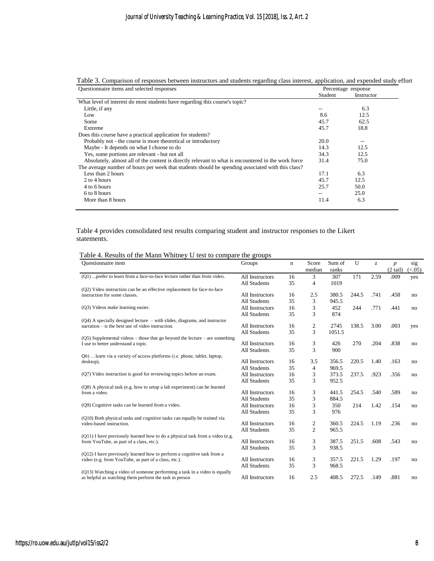| Questionnaire items and selected responses                                                          |         | Percentage response |
|-----------------------------------------------------------------------------------------------------|---------|---------------------|
|                                                                                                     | Student | Instructor          |
| What level of interest do most students have regarding this course's topic?                         |         |                     |
| Little, if any                                                                                      | --      | 6.3                 |
| Low                                                                                                 | 8.6     | 12.5                |
| Some                                                                                                | 45.7    | 62.5                |
| Extreme                                                                                             | 45.7    | 18.8                |
| Does this course have a practical application for students?                                         |         |                     |
| Probably not - the course is more theoretical or introductory                                       | 20.0    | $\qquad \qquad -$   |
| Maybe - It depends on what I choose to do                                                           | 14.3    | 12.5                |
| Yes, some portions are relevant - but not all                                                       | 34.3    | 12.5                |
| Absolutely, almost all of the content is directly relevant to what is encountered in the work force | 31.4    | 75.0                |
| The average number of hours per week that students should be spending associated with this class?   |         |                     |
| Less than 2 hours                                                                                   | 17.1    | 6.3                 |
| 2 to 4 hours                                                                                        | 45.7    | 12.5                |
| 4 to 6 hours                                                                                        | 25.7    | 50.0                |
| 6 to 8 hours                                                                                        |         | 25.0                |
| More than 8 hours                                                                                   | 11.4    | 6.3                 |

Table 3. Comparison of responses between instructors and students regarding class interest, application, and expended study effort

Table 4 provides consolidated test results comparing student and instructor responses to the Likert statements.

| <b>Ouestionnaire</b> item                                                     | Groups              | n  | Score          | Sum of | U     | z    | $\boldsymbol{p}$ | sig    |
|-------------------------------------------------------------------------------|---------------------|----|----------------|--------|-------|------|------------------|--------|
|                                                                               |                     |    | median         | ranks  |       |      | $(2 \ntail)$     | (<.05) |
| (Q1)  prefer to learn from a face-to-face lecture rather than from video.     | All Instructors     | 16 | 3              | 307    | 171   | 2.59 | .009             | yes    |
|                                                                               | <b>All Students</b> | 35 | $\overline{4}$ | 1019   |       |      |                  |        |
| (Q2) Video instruction can be an effective replacement for face-to-face       |                     |    |                |        |       |      |                  |        |
| instruction for some classes.                                                 | All Instructors     | 16 | 2.5            | 380.5  | 244.5 | .741 | .458             | no     |
|                                                                               | <b>All Students</b> | 35 | 3              | 945.5  |       |      |                  |        |
| (Q3) Videos make learning easier.                                             | All Instructors     | 16 | 3              | 452    | 244   | .771 | .441             | no     |
|                                                                               | All Students        | 35 | 3              | 874    |       |      |                  |        |
| $(Q4)$ A specially designed lecture $-$ with slides, diagrams, and instructor |                     |    |                |        |       |      |                  |        |
| $\text{narration}$ – is the best use of video instruction.                    | All Instructors     | 16 | $\mathfrak{2}$ | 2745   | 138.5 | 3.00 | .003             | yes    |
|                                                                               | <b>All Students</b> | 35 | 3              | 1051.5 |       |      |                  |        |
| (Q5) Supplemental videos – those that go beyond the lecture – are something   | All Instructors     | 16 | 3              | 426    | 270   | .204 | .838             |        |
| I use to better understand a topic.                                           | All Students        | 35 | 3              | 900    |       |      |                  | no     |
| Q6)  learn via a variety of access platforms (i.e. phone, tablet, laptop,     |                     |    |                |        |       |      |                  |        |
| desktop).                                                                     | All Instructors     | 16 | 3.5            | 356.5  | 220.5 | 1.40 | .163             | no     |
|                                                                               | All Students        | 35 | 4              | 969.5  |       |      |                  |        |
| (Q7) Video instruction is good for reviewing topics before an exam.           | All Instructors     | 16 | 3              | 373.5  | 237.5 | .923 | .356             | no     |
|                                                                               | All Students        | 35 | 3              | 952.5  |       |      |                  |        |
| (Q8) A physical task (e.g. how to setup a lab experiment) can be learned      |                     |    |                |        |       |      |                  |        |
| from a video.                                                                 | All Instructors     | 16 | 3              | 441.5  | 254.5 | .540 | .589             | no     |
|                                                                               | <b>All Students</b> | 35 | 3              | 884.5  |       |      |                  |        |
| (Q9) Cognitive tasks can be learned from a video.                             | All Instructors     | 16 | 3              | 350    | 214   | 1.42 | .154             | no     |
|                                                                               | All Students        | 35 | 3              | 976    |       |      |                  |        |
| (Q10) Both physical tasks and cognitive tasks can equally be trained via      |                     |    |                |        |       |      |                  |        |
| video-based instruction.                                                      | All Instructors     | 16 | 2              | 360.5  | 224.5 | 1.19 | .236             | no     |
|                                                                               | <b>All Students</b> | 35 | $\overline{c}$ | 965.5  |       |      |                  |        |
| (Q11) I have previously learned how to do a physical task from a video (e.g.  |                     |    |                |        |       |      |                  |        |
| from YouTube, as part of a class, etc.).                                      | All Instructors     | 16 | 3              | 387.5  | 251.5 | .608 | .543             | no     |
|                                                                               | <b>All Students</b> | 35 | 3              | 938.5  |       |      |                  |        |
| (Q12) I have previously learned how to perform a cognitive task from a        | All Instructors     | 16 | 3              | 357.5  | 221.5 | 1.29 | .197             | no     |
| video (e.g. from YouTube, as part of a class, etc.).                          | <b>All Students</b> | 35 | 3              | 968.5  |       |      |                  |        |
| (Q13) Watching a video of someone performing a task in a video is equally     |                     |    |                |        |       |      |                  |        |
| as helpful as watching them perform the task in person                        | All Instructors     | 16 | 2.5            | 408.5  | 272.5 | .149 | .881             | no     |
|                                                                               |                     |    |                |        |       |      |                  |        |

| Table 4. Results of the Mann Whitney U test to compare the groups |  |  |  |  |
|-------------------------------------------------------------------|--|--|--|--|
|                                                                   |  |  |  |  |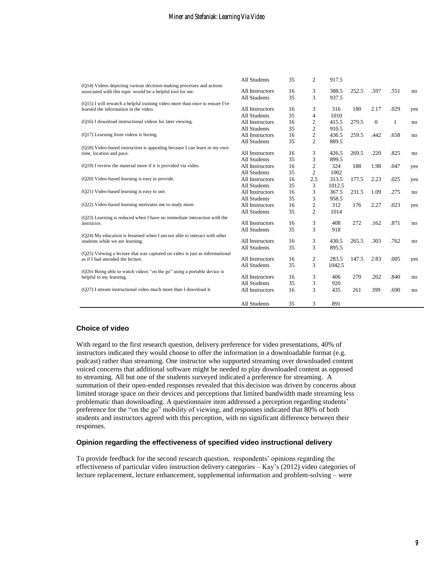|                                                                                                                                    | <b>All Students</b> | 35 | $\overline{c}$ | 917.5  |       |          |      |     |
|------------------------------------------------------------------------------------------------------------------------------------|---------------------|----|----------------|--------|-------|----------|------|-----|
| (Q14) Videos depicting various decision-making processes and actions<br>associated with this topic would be a helpful tool for me. | All Instructors     | 16 | 3              | 388.5  | 252.5 | .597     | .551 | no  |
|                                                                                                                                    | <b>All Students</b> | 35 | 3              | 937.5  |       |          |      |     |
| (Q15) I will rewatch a helpful training video more than once to ensure I've                                                        |                     |    |                |        |       |          |      |     |
| learned the information in the video.                                                                                              | All Instructors     | 16 | 3              | 316    | 180   | 2.17     | .029 | yes |
|                                                                                                                                    | <b>All Students</b> | 35 | 4              | 1010   |       |          |      |     |
| (Q16) I download instructional videos for later viewing.                                                                           | All Instructors     | 16 | $\overline{c}$ | 415.5  | 279.5 | $\Omega$ | 1    | no  |
|                                                                                                                                    | <b>All Students</b> | 35 | $\overline{c}$ | 910.5  |       |          |      |     |
| (Q17) Learning from videos is boring.                                                                                              | All Instructors     | 16 | 2              | 436.5  | 259.5 | .442     | .658 | no  |
|                                                                                                                                    | <b>All Students</b> | 35 | $\overline{c}$ | 889.5  |       |          |      |     |
| (Q18) Video-based instruction is appealing because I can learn in my own                                                           |                     |    |                |        |       |          |      |     |
| time, location and pace.                                                                                                           | All Instructors     | 16 | 3              | 426.5  | 269.5 | .220     | .825 | no  |
|                                                                                                                                    | <b>All Students</b> | 35 | 3              | 899.5  |       |          |      |     |
| (Q19) I review the material more if it is provided via video.                                                                      | All Instructors     | 16 | 2              | 324    | 188   | 1.98     | .047 | yes |
|                                                                                                                                    | <b>All Students</b> | 35 | $\overline{c}$ | 1002   |       |          |      |     |
| (Q20) Video-based learning is easy to provide.                                                                                     | All Instructors     | 16 | 2.5            | 313.5  | 177.5 | 2.23     | .025 | yes |
|                                                                                                                                    | <b>All Students</b> | 35 | 3              | 1012.5 |       |          |      |     |
| (Q21) Video-based learning is easy to use.                                                                                         | All Instructors     | 16 | 3              | 367.5  | 231.5 | 1.09     | .275 | no  |
|                                                                                                                                    | <b>All Students</b> | 35 | 3              | 958.5  |       |          |      |     |
| (Q22) Video-based learning motivates me to study more.                                                                             | All Instructors     | 16 | $\mathfrak{2}$ | 312    | 176   | 2.27     | .023 | yes |
|                                                                                                                                    | <b>All Students</b> | 35 | $\overline{c}$ | 1014   |       |          |      |     |
| (Q23) Learning is reduced when I have no immediate interaction with the                                                            |                     |    |                |        |       |          |      |     |
| instructor.                                                                                                                        | All Instructors     | 16 | 3              | 408    | 272   | .162     | .871 | no  |
|                                                                                                                                    | <b>All Students</b> | 35 | 3              | 918    |       |          |      |     |
| (Q24) My education is lessened when I am not able to interact with other                                                           |                     |    |                |        |       |          |      |     |
| students while we are learning.                                                                                                    | All Instructors     | 16 | 3              | 430.5  | 265.5 | .303     | .762 | no  |
|                                                                                                                                    | <b>All Students</b> | 35 | 3              | 895.5  |       |          |      |     |
| (Q25) Viewing a lecture that was captured on video is just as informational<br>as if I had attended the lecture.                   | All Instructors     | 16 | $\overline{c}$ | 283.5  | 147.5 | 2.83     | .005 |     |
|                                                                                                                                    | <b>All Students</b> | 35 | 3              | 1042.5 |       |          |      | yes |
| (Q26) Being able to watch videos "on the go" using a portable device is                                                            |                     |    |                |        |       |          |      |     |
| helpful to my learning.                                                                                                            | All Instructors     | 16 | 3              | 406    | 270   | .202     | .840 | no  |
|                                                                                                                                    | <b>All Students</b> | 35 | 3              | 920    |       |          |      |     |
| (Q27) I stream instructional video much more than I download it.                                                                   | All Instructors     | 16 | 3              | 435    | 261   | 399      | .690 | no  |
|                                                                                                                                    |                     |    |                |        |       |          |      |     |
|                                                                                                                                    | All Students        | 35 | 3              | 891    |       |          |      |     |

#### **Choice of video**

With regard to the first research question, delivery preference for video presentations, 40% of instructors indicated they would choose to offer the information in a downloadable format (e.g. podcast) rather than streaming. One instructor who supported streaming over downloaded content voiced concerns that additional software might be needed to play downloaded content as opposed to streaming. All but one of the students surveyed indicated a preference for streaming. A summation of their open-ended responses revealed that this decision was driven by concerns about limited storage space on their devices and perceptions that limited bandwidth made streaming less problematic than downloading. A questionnaire item addressed a perception regarding students' preference for the "on the go" mobility of viewing, and responses indicated that 80% of both students and instructors agreed with this perception, with no significant difference between their responses.

#### **Opinion regarding the effectiveness of specified video instructional delivery**

To provide feedback for the second research question, respondents' opinions regarding the effectiveness of particular video instruction delivery categories – Kay's [\(2012\)](#page-16-0) video categories of lecture replacement, lecture enhancement, supplemental information and problem-solving – were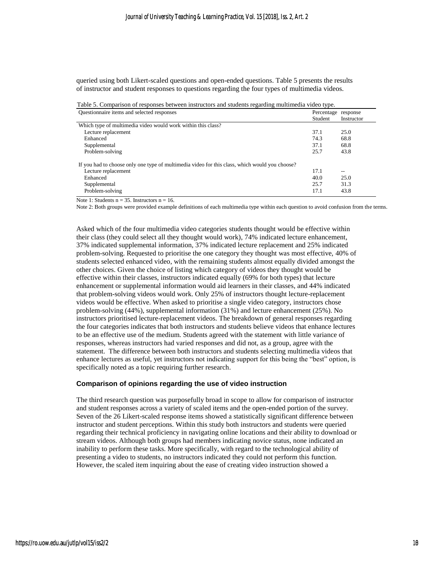queried using both Likert-scaled questions and open-ended questions. Table 5 presents the results of instructor and student responses to questions regarding the four types of multimedia videos.

| Table 5. Comparison of responses between instructors and students regarding multimedia video type. |                     |            |
|----------------------------------------------------------------------------------------------------|---------------------|------------|
| Questionnaire items and selected responses                                                         | Percentage response |            |
|                                                                                                    | Student             | Instructor |
| Which type of multimedia video would work within this class?                                       |                     |            |
| Lecture replacement                                                                                | 37.1                | 25.0       |
| Enhanced                                                                                           | 74.3                | 68.8       |
| Supplemental                                                                                       | 37.1                | 68.8       |
| Problem-solving                                                                                    | 25.7                | 43.8       |
| If you had to choose only one type of multimedia video for this class, which would you choose?     |                     |            |
| Lecture replacement                                                                                | 17.1                | $- -$      |
| Enhanced                                                                                           | 40.0                | 25.0       |
| Supplemental                                                                                       | 25.7                | 31.3       |
| Problem-solving                                                                                    | 17.1                | 43.8       |

Note 1: Students  $n = 35$ . Instructors  $n = 16$ .

Note 2: Both groups were provided example definitions of each multimedia type within each question to avoid confusion from the terms.

Asked which of the four multimedia video categories students thought would be effective within their class (they could select all they thought would work), 74% indicated lecture enhancement, 37% indicated supplemental information, 37% indicated lecture replacement and 25% indicated problem-solving. Requested to prioritise the one category they thought was most effective, 40% of students selected enhanced video, with the remaining students almost equally divided amongst the other choices. Given the choice of listing which category of videos they thought would be effective within their classes, instructors indicated equally (69% for both types) that lecture enhancement or supplemental information would aid learners in their classes, and 44% indicated that problem-solving videos would work. Only 25% of instructors thought lecture-replacement videos would be effective. When asked to prioritise a single video category, instructors chose problem-solving (44%), supplemental information (31%) and lecture enhancement (25%). No instructors prioritised lecture-replacement videos. The breakdown of general responses regarding the four categories indicates that both instructors and students believe videos that enhance lectures to be an effective use of the medium. Students agreed with the statement with little variance of responses, whereas instructors had varied responses and did not, as a group, agree with the statement. The difference between both instructors and students selecting multimedia videos that enhance lectures as useful, yet instructors not indicating support for this being the "best" option, is specifically noted as a topic requiring further research.

#### **Comparison of opinions regarding the use of video instruction**

The third research question was purposefully broad in scope to allow for comparison of instructor and student responses across a variety of scaled items and the open-ended portion of the survey. Seven of the 26 Likert-scaled response items showed a statistically significant difference between instructor and student perceptions. Within this study both instructors and students were queried regarding their technical proficiency in navigating online locations and their ability to download or stream videos. Although both groups had members indicating novice status, none indicated an inability to perform these tasks. More specifically, with regard to the technological ability of presenting a video to students, no instructors indicated they could not perform this function. However, the scaled item inquiring about the ease of creating video instruction showed a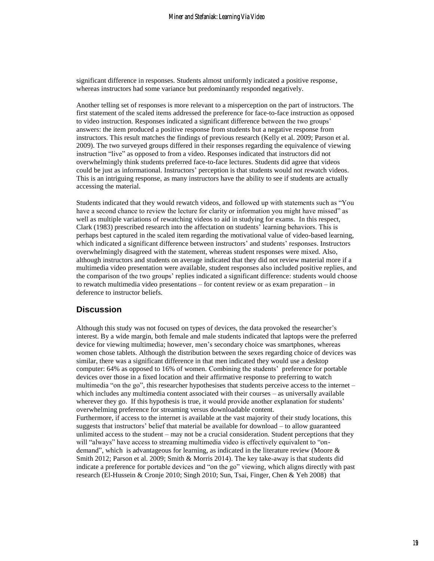significant difference in responses. Students almost uniformly indicated a positive response, whereas instructors had some variance but predominantly responded negatively.

Another telling set of responses is more relevant to a misperception on the part of instructors. The first statement of the scaled items addressed the preference for face-to-face instruction as opposed to video instruction. Responses indicated a significant difference between the two groups' answers: the item produced a positive response from students but a negative response from instructors. This result matches the findings of previous research [\(Kelly et al. 2009;](#page-16-9) [Parson et al.](#page-16-15)  [2009\)](#page-16-15). The two surveyed groups differed in their responses regarding the equivalence of viewing instruction "live" as opposed to from a video. Responses indicated that instructors did not overwhelmingly think students preferred face-to-face lectures. Students did agree that videos could be just as informational. Instructors' perception is that students would not rewatch videos. This is an intriguing response, as many instructors have the ability to see if students are actually accessing the material.

Students indicated that they would rewatch videos, and followed up with statements such as "You have a second chance to review the lecture for clarity or information you might have missed" as well as multiple variations of rewatching videos to aid in studying for exams. In this respect, Clark [\(1983\)](#page-15-13) prescribed research into the affectation on students' learning behaviors. This is perhaps best captured in the scaled item regarding the motivational value of video-based learning, which indicated a significant difference between instructors' and students' responses. Instructors overwhelmingly disagreed with the statement, whereas student responses were mixed. Also, although instructors and students on average indicated that they did not review material more if a multimedia video presentation were available, student responses also included positive replies, and the comparison of the two groups' replies indicated a significant difference: students would choose to rewatch multimedia video presentations – for content review or as exam preparation – in deference to instructor beliefs.

### **Discussion**

Although this study was not focused on types of devices, the data provoked the researcher's interest. By a wide margin, both female and male students indicated that laptops were the preferred device for viewing multimedia; however, men's secondary choice was smartphones, whereas women chose tablets. Although the distribution between the sexes regarding choice of devices was similar, there was a significant difference in that men indicated they would use a desktop computer: 64% as opposed to 16% of women. Combining the students' preference for portable devices over those in a fixed location and their affirmative response to preferring to watch multimedia "on the go", this researcher hypothesises that students perceive access to the internet – which includes any multimedia content associated with their courses – as universally available wherever they go. If this hypothesis is true, it would provide another explanation for students' overwhelming preference for streaming versus downloadable content. Furthermore, if access to the internet is available at the vast majority of their study locations, this suggests that instructors' belief that material be available for download – to allow guaranteed unlimited access to the student – may not be a crucial consideration. Student perceptions that they will "always" have access to streaming multimedia video is effectively equivalent to "ondemand", which is advantageous for learning, as indicated in the literature review (Moore  $\&$ [Smith 2012;](#page-16-10) [Parson et al. 2009;](#page-16-15) [Smith & Morris 2014\)](#page-17-1). The key take-away is that students did indicate a preference for portable devices and "on the go" viewing, which aligns directly with past research [\(El-Hussein & Cronje 2010;](#page-15-14) [Singh 2010;](#page-17-2) [Sun, Tsai, Finger, Chen & Yeh 2008\)](#page-17-3) that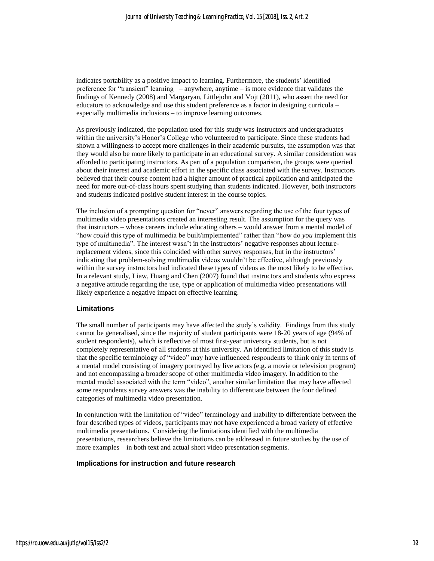indicates portability as a positive impact to learning. Furthermore, the students' identified preference for "transient" learning – anywhere, anytime – is more evidence that validates the findings of Kennedy [\(2008\)](#page-16-16) and Margaryan, Littlejohn and Vojt [\(2011\)](#page-16-17), who assert the need for educators to acknowledge and use this student preference as a factor in designing curricula – especially multimedia inclusions – to improve learning outcomes.

As previously indicated, the population used for this study was instructors and undergraduates within the university's Honor's College who volunteered to participate. Since these students had shown a willingness to accept more challenges in their academic pursuits, the assumption was that they would also be more likely to participate in an educational survey. A similar consideration was afforded to participating instructors. As part of a population comparison, the groups were queried about their interest and academic effort in the specific class associated with the survey. Instructors believed that their course content had a higher amount of practical application and anticipated the need for more out-of-class hours spent studying than students indicated. However, both instructors and students indicated positive student interest in the course topics.

The inclusion of a prompting question for "never" answers regarding the use of the four types of multimedia video presentations created an interesting result. The assumption for the query was that instructors – whose careers include educating others – would answer from a mental model of "how *could* this type of multimedia be built/implemented" rather than "how do *you* implement this type of multimedia". The interest wasn't in the instructors' negative responses about lecturereplacement videos, since this coincided with other survey responses, but in the instructors' indicating that problem-solving multimedia videos wouldn't be effective, although previously within the survey instructors had indicated these types of videos as the most likely to be effective. In a relevant study, Liaw, Huang and Chen (2007) found that instructors and students who express a negative attitude regarding the use, type or application of multimedia video presentations will likely experience a negative impact on effective learning.

#### **Limitations**

The small number of participants may have affected the study's validity. Findings from this study cannot be generalised, since the majority of student participants were 18-20 years of age (94% of student respondents), which is reflective of most first-year university students, but is not completely representative of all students at this university. An identified limitation of this study is that the specific terminology of "video" may have influenced respondents to think only in terms of a mental model consisting of imagery portrayed by live actors (e.g. a movie or television program) and not encompassing a broader scope of other multimedia video imagery. In addition to the mental model associated with the term "video", another similar limitation that may have affected some respondents survey answers was the inability to differentiate between the four defined categories of multimedia video presentation.

In conjunction with the limitation of "video" terminology and inability to differentiate between the four described types of videos, participants may not have experienced a broad variety of effective multimedia presentations. Considering the limitations identified with the multimedia presentations, researchers believe the limitations can be addressed in future studies by the use of more examples – in both text and actual short video presentation segments.

#### **Implications for instruction and future research**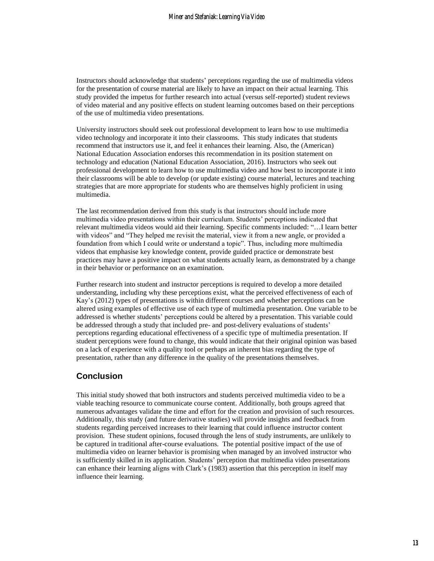Instructors should acknowledge that students' perceptions regarding the use of multimedia videos for the presentation of course material are likely to have an impact on their actual learning. This study provided the impetus for further research into actual (versus self-reported) student reviews of video material and any positive effects on student learning outcomes based on their perceptions of the use of multimedia video presentations.

University instructors should seek out professional development to learn how to use multimedia video technology and incorporate it into their classrooms. This study indicates that students recommend that instructors use it, and feel it enhances their learning. Also, the (American) National Education Association endorses this recommendation in its position statement on technology and education [\(National Education Association, 2016\)](#page-16-18). Instructors who seek out professional development to learn how to use multimedia video and how best to incorporate it into their classrooms will be able to develop (or update existing) course material, lectures and teaching strategies that are more appropriate for students who are themselves highly proficient in using multimedia.

The last recommendation derived from this study is that instructors should include more multimedia video presentations within their curriculum. Students' perceptions indicated that relevant multimedia videos would aid their learning. Specific comments included: "…I learn better with videos" and "They helped me revisit the material, view it from a new angle, or provided a foundation from which I could write or understand a topic". Thus, including more multimedia videos that emphasise key knowledge content, provide guided practice or demonstrate best practices may have a positive impact on what students actually learn, as demonstrated by a change in their behavior or performance on an examination.

Further research into student and instructor perceptions is required to develop a more detailed understanding, including why these perceptions exist, what the perceived effectiveness of each of Kay's [\(2012\)](#page-16-6) types of presentations is within different courses and whether perceptions can be altered using examples of effective use of each type of multimedia presentation. One variable to be addressed is whether students' perceptions could be altered by a presentation. This variable could be addressed through a study that included pre- and post-delivery evaluations of students' perceptions regarding educational effectiveness of a specific type of multimedia presentation. If student perceptions were found to change, this would indicate that their original opinion was based on a lack of experience with a quality tool or perhaps an inherent bias regarding the type of presentation, rather than any difference in the quality of the presentations themselves.

### **Conclusion**

This initial study showed that both instructors and students perceived multimedia video to be a viable teaching resource to communicate course content. Additionally, both groups agreed that numerous advantages validate the time and effort for the creation and provision of such resources. Additionally, this study (and future derivative studies) will provide insights and feedback from students regarding perceived increases to their learning that could influence instructor content provision. These student opinions, focused through the lens of study instruments, are unlikely to be captured in traditional after-course evaluations. The potential positive impact of the use of multimedia video on learner behavior is promising when managed by an involved instructor who is sufficiently skilled in its application. Students' perception that multimedia video presentations can enhance their learning aligns with Clark's [\(1983\)](#page-15-13) assertion that this perception in itself may influence their learning.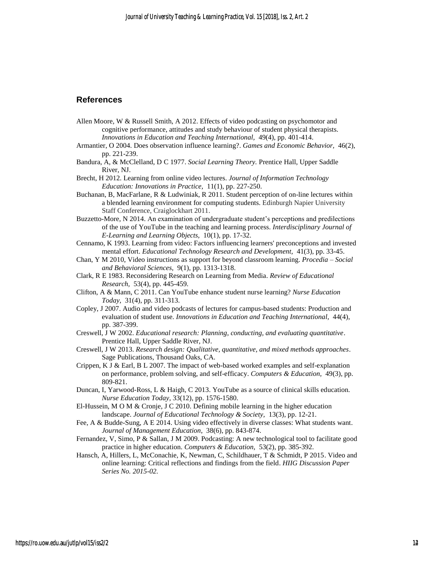## **References**

- <span id="page-15-10"></span>Allen Moore, W & Russell Smith, A 2012. Effects of video podcasting on psychomotor and cognitive performance, attitudes and study behaviour of student physical therapists. *Innovations in Education and Teaching International,* 49(4), pp. 401-414.
- <span id="page-15-1"></span>Armantier, O 2004. Does observation influence learning?. *Games and Economic Behavior,* 46(2), pp. 221-239.
- <span id="page-15-0"></span>Bandura, A, & McClelland, D C 1977. *Social Learning Theory.* Prentice Hall, Upper Saddle River, NJ.
- <span id="page-15-6"></span>Brecht, H 2012. Learning from online video lectures. *Journal of Information Technology Education: Innovations in Practice,* 11(1), pp. 227-250.
- <span id="page-15-9"></span>Buchanan, B, MacFarlane, R & Ludwiniak, R 2011. Student perception of on-line lectures within a blended learning environment for computing students. Edinburgh Napier University Staff Conference, Craiglockhart 2011.
- <span id="page-15-3"></span>Buzzetto-More, N 2014. An examination of undergraduate student's perceptions and predilections of the use of YouTube in the teaching and learning process. *Interdisciplinary Journal of E-Learning and Learning Objects,* 10(1), pp. 17-32.

<span id="page-15-7"></span>Cennamo, K 1993. Learning from video: Factors influencing learners' preconceptions and invested mental effort. *Educational Technology Research and Development,* 41(3), pp. 33-45.

- <span id="page-15-2"></span>Chan, Y M 2010, Video instructions as support for beyond classroom learning. *Procedia – Social and Behavioral Sciences,* 9(1), pp. 1313-1318.
- <span id="page-15-13"></span>Clark, R E 1983. Reconsidering Research on Learning from Media. *Review of Educational Research,* 53(4), pp. 445-459.
- Clifton, A & Mann, C 2011. Can YouTube enhance student nurse learning? *Nurse Education Today,* 31(4), pp. 311-313.
- Copley, J 2007. Audio and video podcasts of lectures for campus-based students: Production and evaluation of student use. *Innovations in Education and Teaching International,* 44(4), pp. 387-399.
- <span id="page-15-11"></span>Creswell, J W 2002. *Educational research: Planning, conducting, and evaluating quantitative*. Prentice Hall, Upper Saddle River, NJ.
- <span id="page-15-12"></span>Creswell, J W 2013. *Research design: Qualitative, quantitative, and mixed methods approaches*. Sage Publications, Thousand Oaks, CA.
- <span id="page-15-4"></span>Crippen, K J & Earl, B L 2007. The impact of web-based worked examples and self-explanation on performance, problem solving, and self-efficacy. *Computers & Education,* 49(3), pp. 809-821.
- Duncan, I, Yarwood-Ross, L & Haigh, C 2013. YouTube as a source of clinical skills education. *Nurse Education Today,* 33(12), pp. 1576-1580.
- <span id="page-15-14"></span>El-Hussein, M O M & Cronje, J C 2010. Defining mobile learning in the higher education landscape. *Journal of Educational Technology & Society,* 13(3), pp. 12-21.
- <span id="page-15-8"></span>Fee, A & Budde-Sung, A E 2014. Using video effectively in diverse classes: What students want. *Journal of Management Education*, 38(6), pp. 843-874.
- <span id="page-15-5"></span>Fernandez, V, Simo, P & Sallan, J M 2009. Podcasting: A new technological tool to facilitate good practice in higher education. *Computers & Education,* 53(2), pp. 385-392.
- Hansch, A, Hillers, L, McConachie, K, Newman, C, Schildhauer, T & Schmidt, P 2015. Video and online learning: Critical reflections and findings from the field. *HIIG Discussion Paper Series No. 2015-02.*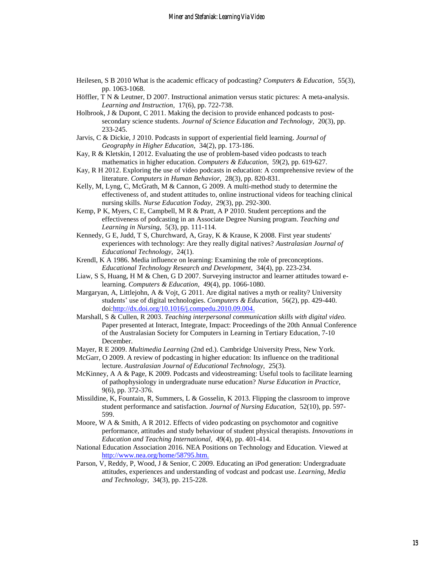- <span id="page-16-2"></span>Heilesen, S B 2010 What is the academic efficacy of podcasting? *Computers & Education,* 55(3), pp. 1063-1068.
- <span id="page-16-7"></span>Höffler, T N & Leutner, D 2007. Instructional animation versus static pictures: A meta-analysis. *Learning and Instruction,* 17(6), pp. 722-738.
- <span id="page-16-3"></span>Holbrook, J & Dupont, C 2011. Making the decision to provide enhanced podcasts to postsecondary science students. *Journal of Science Education and Technology,* 20(3), pp. 233-245.
- <span id="page-16-4"></span>Jarvis, C & Dickie, J 2010. Podcasts in support of experiential field learning. *Journal of Geography in Higher Education,* 34(2), pp. 173-186.
- <span id="page-16-6"></span>Kay, R & Kletskin, I 2012. Evaluating the use of problem-based video podcasts to teach mathematics in higher education. *Computers & Education,* 59(2), pp. 619-627.
- <span id="page-16-0"></span>Kay, R H 2012. Exploring the use of video podcasts in education: A comprehensive review of the literature. *Computers in Human Behavior,* 28(3), pp. 820-831.
- <span id="page-16-9"></span>Kelly, M, Lyng, C, McGrath, M & Cannon, G 2009. A multi-method study to determine the effectiveness of, and student attitudes to, online instructional videos for teaching clinical nursing skills. *Nurse Education Today,* 29(3), pp. 292-300.
- <span id="page-16-14"></span>Kemp, P K, Myers, C E, Campbell, M R & Pratt, A P 2010. Student perceptions and the effectiveness of podcasting in an Associate Degree Nursing program. *Teaching and Learning in Nursing,* 5(3), pp. 111-114.
- <span id="page-16-16"></span>Kennedy, G E, Judd, T S, Churchward, A, Gray, K & Krause, K 2008. First year students' experiences with technology: Are they really digital natives? *Australasian Journal of Educational Technology,* 24(1).
- <span id="page-16-12"></span>Krendl, K A 1986. Media influence on learning: Examining the role of preconceptions. *Educational Technology Research and Development,* 34(4), pp. 223-234.
- <span id="page-16-11"></span>Liaw, S S, Huang, H M & Chen, G D 2007. Surveying instructor and learner attitudes toward elearning. *Computers & Education,* 49(4), pp. 1066-1080.
- <span id="page-16-17"></span>Margaryan, A, Littlejohn, A & Vojt, G 2011. Are digital natives a myth or reality? University students' use of digital technologies. *Computers & Education,* 56(2), pp. 429-440. doi[:http://dx.doi.org/10.1016/j.compedu.2010.09.004.](http://dx.doi.org/10.1016/j.compedu.2010.09.004)
- <span id="page-16-1"></span>Marshall, S & Cullen, R 2003. *Teaching interpersonal communication skills with digital video.* Paper presented at Interact, Integrate, Impact: Proceedings of the 20th Annual Conference of the Australasian Society for Computers in Learning in Tertiary Education, 7-10 December.
- <span id="page-16-13"></span>Mayer, R E 2009. *Multimedia Learning* (2nd ed.). Cambridge University Press, New York.
- <span id="page-16-5"></span>McGarr, O 2009. A review of podcasting in higher education: Its influence on the traditional lecture. *Australasian Journal of Educational Technology,* 25(3).
- <span id="page-16-8"></span>McKinney, A A & Page, K 2009. Podcasts and videostreaming: Useful tools to facilitate learning of pathophysiology in undergraduate nurse education? *Nurse Education in Practice,*  9(6), pp. 372-376.
- Missildine, K, Fountain, R, Summers, L & Gosselin, K 2013. Flipping the classroom to improve student performance and satisfaction. *Journal of Nursing Education,* 52(10), pp. 597- 599.
- <span id="page-16-10"></span>Moore, W A & Smith, A R 2012. Effects of video podcasting on psychomotor and cognitive performance, attitudes and study behaviour of student physical therapists. *Innovations in Education and Teaching International,* 49(4), pp. 401-414.
- <span id="page-16-18"></span>National Education Association 2016. NEA Positions on Technology and Education. Viewed at [http://www.nea.org/home/58795.htm.](http://www.nea.org/home/58795.htm)
- <span id="page-16-15"></span>Parson, V, Reddy, P, Wood, J & Senior, C 2009. Educating an iPod generation: Undergraduate attitudes, experiences and understanding of vodcast and podcast use. *Learning, Media and Technology,* 34(3), pp. 215-228.